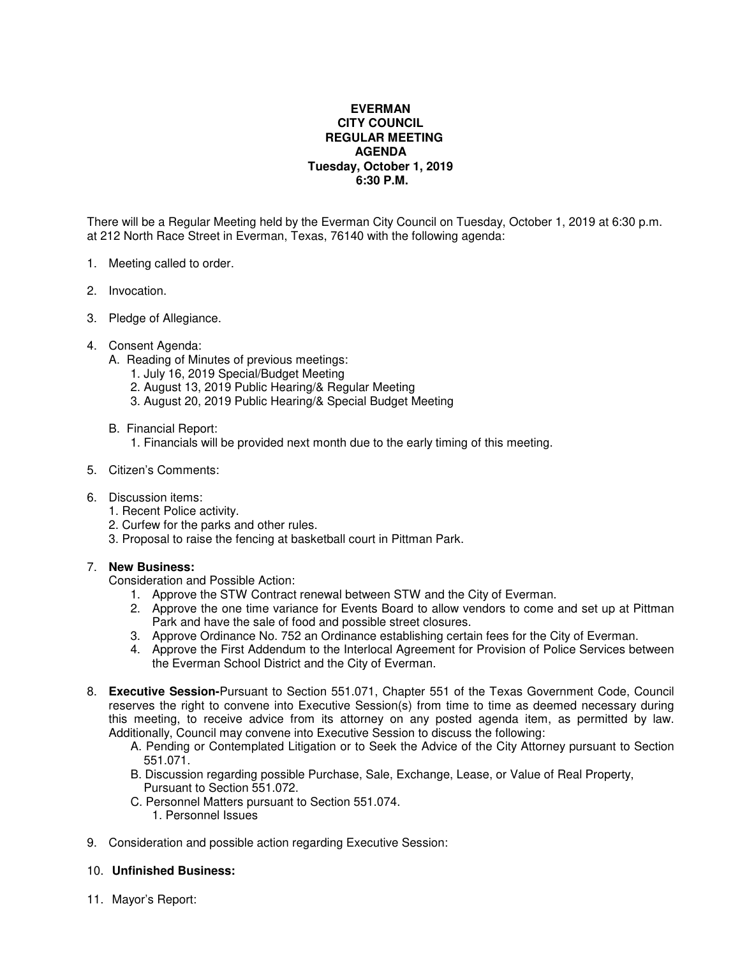## **EVERMAN CITY COUNCIL REGULAR MEETING AGENDA Tuesday, October 1, 2019 6:30 P.M.**

There will be a Regular Meeting held by the Everman City Council on Tuesday, October 1, 2019 at 6:30 p.m. at 212 North Race Street in Everman, Texas, 76140 with the following agenda:

- 1. Meeting called to order.
- 2. Invocation.
- 3. Pledge of Allegiance.
- 4. Consent Agenda:
	- A. Reading of Minutes of previous meetings:
		- 1. July 16, 2019 Special/Budget Meeting
		- 2. August 13, 2019 Public Hearing/& Regular Meeting
		- 3. August 20, 2019 Public Hearing/& Special Budget Meeting
	- B. Financial Report:
		- 1. Financials will be provided next month due to the early timing of this meeting.
- 5. Citizen's Comments:
- 6. Discussion items:
	- 1. Recent Police activity.
	- 2. Curfew for the parks and other rules.
	- 3. Proposal to raise the fencing at basketball court in Pittman Park.

## 7. **New Business:**

Consideration and Possible Action:

- 1. Approve the STW Contract renewal between STW and the City of Everman.
- 2. Approve the one time variance for Events Board to allow vendors to come and set up at Pittman Park and have the sale of food and possible street closures.
- 3. Approve Ordinance No. 752 an Ordinance establishing certain fees for the City of Everman.
- 4. Approve the First Addendum to the Interlocal Agreement for Provision of Police Services between the Everman School District and the City of Everman.
- 8. **Executive Session-**Pursuant to Section 551.071, Chapter 551 of the Texas Government Code, Council reserves the right to convene into Executive Session(s) from time to time as deemed necessary during this meeting, to receive advice from its attorney on any posted agenda item, as permitted by law. Additionally, Council may convene into Executive Session to discuss the following:
	- A. Pending or Contemplated Litigation or to Seek the Advice of the City Attorney pursuant to Section 551.071.
	- B. Discussion regarding possible Purchase, Sale, Exchange, Lease, or Value of Real Property, Pursuant to Section 551.072.
	- C. Personnel Matters pursuant to Section 551.074.
		- 1. Personnel Issues
- 9. Consideration and possible action regarding Executive Session:

## 10. **Unfinished Business:**

11. Mayor's Report: